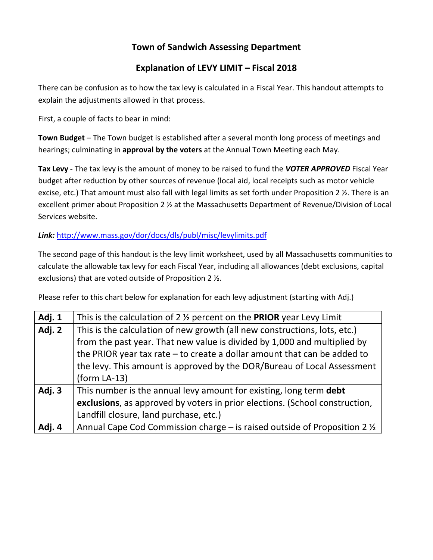# **Town of Sandwich Assessing Department**

## **Explanation of LEVY LIMIT – Fiscal 2018**

There can be confusion as to how the tax levy is calculated in a Fiscal Year. This handout attempts to explain the adjustments allowed in that process.

First, a couple of facts to bear in mind:

**Town Budget** – The Town budget is established after a several month long process of meetings and hearings; culminating in **approval by the voters** at the Annual Town Meeting each May.

**Tax Levy -** The tax levy is the amount of money to be raised to fund the *VOTER APPROVED* Fiscal Year budget after reduction by other sources of revenue (local aid, local receipts such as motor vehicle excise, etc.) That amount must also fall with legal limits as set forth under Proposition 2 ½. There is an excellent primer about Proposition 2 ½ at the Massachusetts Department of Revenue/Division of Local Services website.

### *Link:* <http://www.mass.gov/dor/docs/dls/publ/misc/levylimits.pdf>

The second page of this handout is the levy limit worksheet, used by all Massachusetts communities to calculate the allowable tax levy for each Fiscal Year, including all allowances (debt exclusions, capital exclusions) that are voted outside of Proposition 2 ½.

Please refer to this chart below for explanation for each levy adjustment (starting with Adj.)

| Adj. 1 | This is the calculation of 2 $\frac{1}{2}$ percent on the PRIOR year Levy Limit      |  |  |  |  |
|--------|--------------------------------------------------------------------------------------|--|--|--|--|
| Adj. 2 | This is the calculation of new growth (all new constructions, lots, etc.)            |  |  |  |  |
|        | from the past year. That new value is divided by 1,000 and multiplied by             |  |  |  |  |
|        | the PRIOR year tax rate - to create a dollar amount that can be added to             |  |  |  |  |
|        | the levy. This amount is approved by the DOR/Bureau of Local Assessment              |  |  |  |  |
|        | $(form LA-13)$                                                                       |  |  |  |  |
| Adj. 3 | This number is the annual levy amount for existing, long term debt                   |  |  |  |  |
|        | exclusions, as approved by voters in prior elections. (School construction,          |  |  |  |  |
|        | Landfill closure, land purchase, etc.)                                               |  |  |  |  |
| Adj. 4 | Annual Cape Cod Commission charge – is raised outside of Proposition 2 $\frac{1}{2}$ |  |  |  |  |